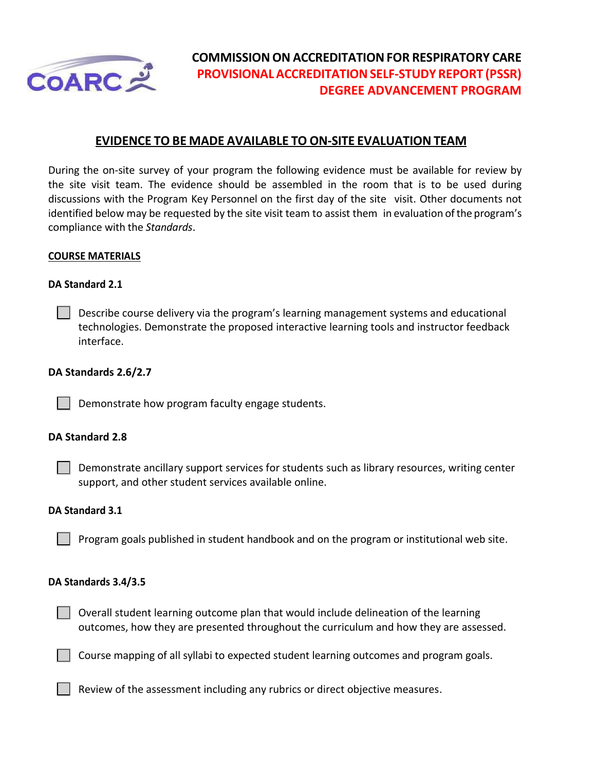

# **COMMISSIONON ACCREDITATIONFOR RESPIRATORY CARE PROVISIONALACCREDITATIONSELF‐STUDY REPORT (PSSR) DEGREE ADVANCEMENT PROGRAM**

## **EVIDENCE TO BE MADE AVAILABLE TO ON‐SITE EVALUATION TEAM**

During the on-site survey of your program the following evidence must be available for review by the site visit team. The evidence should be assembled in the room that is to be used during discussions with the Program Key Personnel on the first day of the site visit. Other documents not identified below may be requested by the site visit team to assist them in evaluation of the program's compliance with the *Standards*.

## **COURSE MATERIALS**

## **DA Standard 2.1**

**Describe course delivery via the program's learning management systems and educational** technologies. Demonstrate the proposed interactive learning tools and instructor feedback interface.

## **DA Standards 2.6/2.7**

 $\Box$  Demonstrate how program faculty engage students.

## **DA Standard 2.8**

Demonstrate ancillary support services for students such as library resources, writing center support, and other student services available online.

#### **DA Standard 3.1**

Program goals published in student handbook and on the program or institutional web site.

#### **DA Standards 3.4/3.5**

 $\vert \ \vert$  Overall student learning outcome plan that would include delineation of the learning outcomes, how they are presented throughout the curriculum and how they are assessed.

Course mapping of all syllabi to expected student learning outcomes and program goals.

 $\vert \ \vert$  Review of the assessment including any rubrics or direct objective measures.